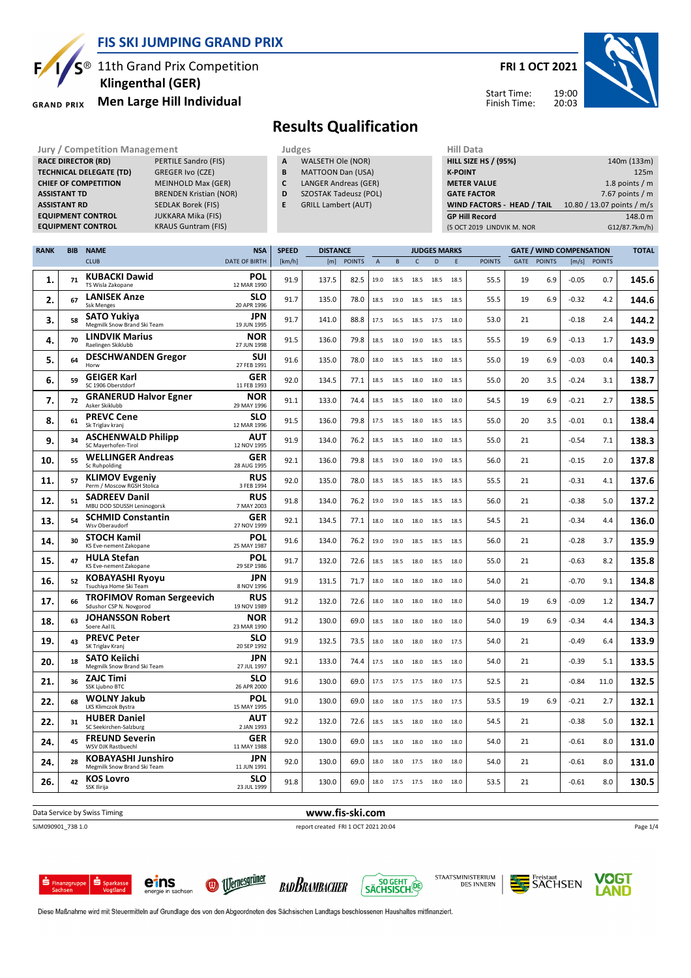

**KRAUS Guntram (FIS)** 

 **Klingenthal (GER)**

**RACE DIRECTOR (RD)** PERTILE Sandro (FIS) **TECHNICAL DELEGATE (TD)** GREGER Ivo (CZE) **CHIEF OF COMPETITION** MEINHOLD Max (GER) **ASSISTANT TD** BRENDEN Kristian (NOR) **ASSISTANT RD** SEDLAK Borek (FIS)<br>**EQUIPMENT CONTROL** JUKKARA Mika (FIS)

**GRAND PRIX** 

**EQUIPMENT CONTROL**<br>**EQUIPMENT CONTROL** 

## <sup>®</sup> 11th Grand Prix Competition **Men Large Hill Individual**

#### **FRI 1 OCT 2021**



Start Time: Finish Time:

### **Results Qualification**

**Jury / Competition Management Judges Hill Data** 

- **A** WALSETH Ole (NOR)
- **B** MATTOON Dan (USA)
- **C** LANGER Andreas (GER)
- **D** SZOSTAK Tadeusz (POL)
- **E** GRILL Lambert (AUT)

| нш рата                           |                            |
|-----------------------------------|----------------------------|
| <b>HILL SIZE HS / (95%)</b>       | 140m (133m)                |
| <b>K-POINT</b>                    | 125m                       |
| <b>METER VALUE</b>                | 1.8 points $/m$            |
| <b>GATE FACTOR</b>                | 7.67 points $/m$           |
| <b>WIND FACTORS - HEAD / TAIL</b> | 10.80 / 13.07 points / m/s |
| <b>GP Hill Record</b>             | 148.0 m                    |
| (5 OCT 2019 LINDVIK M. NOR        | G12/87.7km/h)              |

| <b>RANK</b> | <b>BIB</b> | <b>NAME</b>                                                 | <b>NSA</b>                | <b>SPEED</b> | <b>DISTANCE</b> |               |                |      |              | <b>JUDGES MARKS</b> |      |               |             |               | <b>GATE / WIND COMPENSATION</b> |               | <b>TOTAL</b> |
|-------------|------------|-------------------------------------------------------------|---------------------------|--------------|-----------------|---------------|----------------|------|--------------|---------------------|------|---------------|-------------|---------------|---------------------------------|---------------|--------------|
|             |            | <b>CLUB</b>                                                 | <b>DATE OF BIRTH</b>      | [km/h]       | [m]             | <b>POINTS</b> | $\overline{A}$ | B    | $\mathsf{C}$ | D                   | E    | <b>POINTS</b> | <b>GATE</b> | <b>POINTS</b> | [m/s]                           | <b>POINTS</b> |              |
| 1.          | 71         | <b>KUBACKI Dawid</b><br>TS Wisla Zakopane                   | <b>POL</b><br>12 MAR 1990 | 91.9         | 137.5           | 82.5          | 19.0           | 18.5 | 18.5         | 18.5                | 18.5 | 55.5          | 19          | 6.9           | $-0.05$                         | 0.7           | 145.6        |
| 2.          | 67         | <b>LANISEK Anze</b><br><b>Ssk Menges</b>                    | SLO<br>20 APR 1996        | 91.7         | 135.0           | 78.0          | 18.5           | 19.0 | 18.5         | 18.5                | 18.5 | 55.5          | 19          | 6.9           | $-0.32$                         | 4.2           | 144.6        |
| 3.          | 58         | <b>SATO Yukiva</b><br>Megmilk Snow Brand Ski Team           | JPN<br>19 JUN 1995        | 91.7         | 141.0           | 88.8          | 17.5           | 16.5 | 18.5         | 17.5                | 18.0 | 53.0          | 21          |               | $-0.18$                         | 2.4           | 144.2        |
| 4.          | 70         | <b>LINDVIK Marius</b><br>Raelingen Skiklubb                 | NOR<br>27 JUN 1998        | 91.5         | 136.0           | 79.8          | 18.5           | 18.0 | 19.0         | 18.5                | 18.5 | 55.5          | 19          | 6.9           | $-0.13$                         | 1.7           | 143.9        |
| 5.          | 64         | <b>DESCHWANDEN Gregor</b><br>Horw                           | SUI<br>27 FEB 1991        | 91.6         | 135.0           | 78.0          | 18.0           | 18.5 | 18.5         | 18.0                | 18.5 | 55.0          | 19          | 6.9           | $-0.03$                         | 0.4           | 140.3        |
| 6.          | 59         | <b>GEIGER Karl</b><br>SC 1906 Oberstdorf                    | GER<br>11 FEB 1993        | 92.0         | 134.5           | 77.1          | 18.5           | 18.5 | 18.0         | 18.0                | 18.5 | 55.0          | 20          | 3.5           | $-0.24$                         | 3.1           | 138.7        |
| 7.          | 72         | <b>GRANERUD Halvor Egner</b><br>Asker Skiklubb              | <b>NOR</b><br>29 MAY 1996 | 91.1         | 133.0           | 74.4          | 18.5           | 18.5 | 18.0         | 18.0                | 18.0 | 54.5          | 19          | 6.9           | $-0.21$                         | 2.7           | 138.5        |
| 8.          | 61         | <b>PREVC Cene</b><br>Sk Triglav kranj                       | <b>SLO</b><br>12 MAR 1996 | 91.5         | 136.0           | 79.8          | 17.5           | 18.5 | 18.0         | 18.5                | 18.5 | 55.0          | 20          | 3.5           | $-0.01$                         | 0.1           | 138.4        |
| 9.          | 34         | <b>ASCHENWALD Philipp</b><br>SC Mayerhofen-Tirol            | AUT<br>12 NOV 1995        | 91.9         | 134.0           | 76.2          | 18.5           | 18.5 | 18.0         | 18.0                | 18.5 | 55.0          | 21          |               | $-0.54$                         | 7.1           | 138.3        |
| 10.         | 55         | <b>WELLINGER Andreas</b><br>Sc Ruhpolding                   | GER<br>28 AUG 1995        | 92.1         | 136.0           | 79.8          | 18.5           | 19.0 | 18.0         | 19.0                | 18.5 | 56.0          | 21          |               | $-0.15$                         | 2.0           | 137.8        |
| 11.         | 57         | <b>KLIMOV Evgeniy</b><br>Perm / Moscow RGSH Stolica         | <b>RUS</b><br>3 FEB 1994  | 92.0         | 135.0           | 78.0          | 18.5           | 18.5 | 18.5         | 18.5                | 18.5 | 55.5          | 21          |               | $-0.31$                         | 4.1           | 137.6        |
| 12.         | 51         | <b>SADREEV Danil</b><br>MBU DOD SDUSSH Leninogorsk          | <b>RUS</b><br>7 MAY 2003  | 91.8         | 134.0           | 76.2          | 19.0           | 19.0 | 18.5         | 18.5                | 18.5 | 56.0          | 21          |               | $-0.38$                         | 5.0           | 137.2        |
| 13.         | 54         | <b>SCHMID Constantin</b><br>Wsv Oberaudorf                  | GER<br>27 NOV 1999        | 92.1         | 134.5           | 77.1          | 18.0           | 18.0 | 18.0         | 18.5                | 18.5 | 54.5          | 21          |               | $-0.34$                         | 4.4           | 136.0        |
| 14.         | 30         | <b>STOCH Kamil</b><br>KS Eve-nement Zakopane                | POL<br>25 MAY 1987        | 91.6         | 134.0           | 76.2          | 19.0           | 19.0 | 18.5         | 18.5                | 18.5 | 56.0          | 21          |               | $-0.28$                         | 3.7           | 135.9        |
| 15.         | 47         | <b>HULA Stefan</b><br>KS Eve-nement Zakopane                | POL<br>29 SEP 1986        | 91.7         | 132.0           | 72.6          | 18.5           | 18.5 | 18.0         | 18.5                | 18.0 | 55.0          | 21          |               | $-0.63$                         | 8.2           | 135.8        |
| 16.         | 52         | <b>KOBAYASHI Ryoyu</b><br>Tsuchiya Home Ski Team            | <b>JPN</b><br>8 NOV 1996  | 91.9         | 131.5           | 71.7          | 18.0           | 18.0 | 18.0         | 18.0                | 18.0 | 54.0          | 21          |               | $-0.70$                         | 9.1           | 134.8        |
| 17.         | 66         | <b>TROFIMOV Roman Sergeevich</b><br>Sdushor CSP N. Novgorod | <b>RUS</b><br>19 NOV 1989 | 91.2         | 132.0           | 72.6          | 18.0           | 18.0 | 18.0         | 18.0                | 18.0 | 54.0          | 19          | 6.9           | $-0.09$                         | 1.2           | 134.7        |
| 18.         | 63         | <b>JOHANSSON Robert</b><br>Soere Aal IL                     | NOR<br>23 MAR 1990        | 91.2         | 130.0           | 69.0          | 18.5           | 18.0 | 18.0         | 18.0                | 18.0 | 54.0          | 19          | 6.9           | $-0.34$                         | 4.4           | 134.3        |
| 19.         | 43         | <b>PREVC Peter</b><br>SK Triglav Kranj                      | <b>SLO</b><br>20 SEP 1992 | 91.9         | 132.5           | 73.5          | 18.0           | 18.0 | 18.0         | 18.0                | 17.5 | 54.0          | 21          |               | -0.49                           | 6.4           | 133.9        |
| 20.         | 18         | <b>SATO Keiichi</b><br>Megmilk Snow Brand Ski Team          | <b>JPN</b><br>27 JUL 1997 | 92.1         | 133.0           | 74.4          | 17.5           | 18.0 | 18.0         | 18.5                | 18.0 | 54.0          | 21          |               | $-0.39$                         | 5.1           | 133.5        |
| 21.         | 36         | <b>ZAJC Timi</b><br>SSK Ljubno BTC                          | <b>SLO</b><br>26 APR 2000 | 91.6         | 130.0           | 69.0          | 17.5           | 17.5 | 17.5         | 18.0                | 17.5 | 52.5          | 21          |               | $-0.84$                         | 11.0          | 132.5        |
| 22.         | 68         | <b>WOLNY Jakub</b><br>LKS Klimczok Bystra                   | POL<br>15 MAY 1995        | 91.0         | 130.0           | 69.0          | 18.0           | 18.0 | 17.5         | 18.0                | 17.5 | 53.5          | 19          | 6.9           | $-0.21$                         | 2.7           | 132.1        |
| 22.         | 31         | <b>HUBER Daniel</b><br>SC Seekirchen-Salzburg               | AUT<br>2 JAN 1993         | 92.2         | 132.0           | 72.6          | 18.5           | 18.5 | 18.0         | 18.0                | 18.0 | 54.5          | 21          |               | $-0.38$                         | 5.0           | 132.1        |
| 24.         | 45         | <b>FREUND Severin</b><br>WSV DJK Rastbuechl                 | GER<br>11 MAY 1988        | 92.0         | 130.0           | 69.0          | 18.5           | 18.0 | 18.0         | 18.0                | 18.0 | 54.0          | 21          |               | $-0.61$                         | 8.0           | 131.0        |
| 24.         | 28         | <b>KOBAYASHI Junshiro</b><br>Megmilk Snow Brand Ski Team    | <b>JPN</b><br>11 JUN 1991 | 92.0         | 130.0           | 69.0          | 18.0           | 18.0 | 17.5         | 18.0                | 18.0 | 54.0          | 21          |               | $-0.61$                         | 8.0           | 131.0        |
| 26.         | 42         | <b>KOS Lovro</b><br>SSK Ilirija                             | <b>SLO</b><br>23 JUL 1999 | 91.8         | 130.0           | 69.0          | 18.0           | 17.5 | 17.5 18.0    |                     | 18.0 | 53.5          | 21          |               | $-0.61$                         | 8.0           | 130.5        |

Data Service by Swiss Timing **www.fis-ski.com** 

SJM090901\_73B 1.0 report created FRI 1 OCT 2021 20:04

Page 1/4





eins







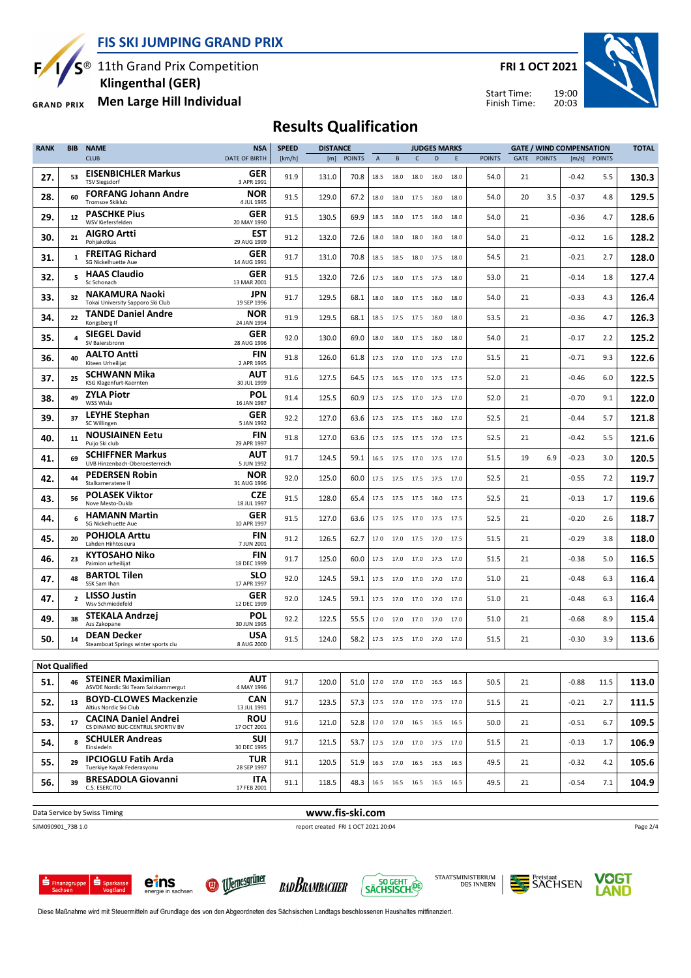**FIS SKI JUMPING GRAND PRIX**

 $S^{\circledast}$  11th Grand Prix Competition

 **Klingenthal (GER)**

**Men Large Hill Individual GRAND PRIX** 

F

**FRI 1 OCT 2021**





#### **Results Qualification**

| <b>RANK</b>          | BIB            | <b>NAME</b>                                                      | <b>NSA</b>                | <b>SPEED</b> | <b>DISTANCE</b> |               |                |                          |                | <b>JUDGES MARKS</b> |      |               |      |               | <b>GATE / WIND COMPENSATION</b> |              | <b>TOTAL</b> |
|----------------------|----------------|------------------------------------------------------------------|---------------------------|--------------|-----------------|---------------|----------------|--------------------------|----------------|---------------------|------|---------------|------|---------------|---------------------------------|--------------|--------------|
|                      |                | <b>CLUB</b>                                                      | <b>DATE OF BIRTH</b>      | [km/h]       | [m]             | <b>POINTS</b> | $\overline{A}$ | B                        | $\mathsf{C}$   | D                   | E    | <b>POINTS</b> | GATE | <b>POINTS</b> |                                 | [m/s] POINTS |              |
| 27.                  | 53             | <b>EISENBICHLER Markus</b><br><b>TSV Siegsdorf</b>               | <b>GER</b><br>3 APR 1991  | 91.9         | 131.0           | 70.8          | 18.5           | 18.0                     | 18.0           | 18.0                | 18.0 | 54.0          | 21   |               | $-0.42$                         | 5.5          | 130.3        |
| 28.                  | 60             | <b>FORFANG Johann Andre</b><br><b>Tromsoe Skiklub</b>            | <b>NOR</b><br>4 JUL 1995  | 91.5         | 129.0           | 67.2          | 18.0           | 18.0                     | 17.5           | 18.0                | 18.0 | 54.0          | 20   | 3.5           | -0.37                           | 4.8          | 129.5        |
| 29.                  | 12             | <b>PASCHKE Pius</b><br>WSV Kiefersfelden                         | GER<br>20 MAY 1990        | 91.5         | 130.5           | 69.9          | 18.5           | 18.0                     | 17.5           | 18.0                | 18.0 | 54.0          | 21   |               | $-0.36$                         | 4.7          | 128.6        |
| 30.                  | 21             | <b>AIGRO Artti</b><br>Pohjakotkas                                | EST<br>29 AUG 1999        | 91.2         | 132.0           | 72.6          | 18.0           | 18.0                     | 18.0           | 18.0                | 18.0 | 54.0          | 21   |               | $-0.12$                         | 1.6          | 128.2        |
| 31.                  | $\mathbf{1}$   | <b>FREITAG Richard</b><br>SG Nickelhuette Aue                    | GER<br>14 AUG 1991        | 91.7         | 131.0           | 70.8          | 18.5           | 18.5                     | 18.0           | 17.5                | 18.0 | 54.5          | 21   |               | $-0.21$                         | 2.7          | 128.0        |
| 32.                  | 5              | <b>HAAS Claudio</b><br>Sc Schonach                               | GER<br>13 MAR 2001        | 91.5         | 132.0           | 72.6          | 17.5           | 18.0                     | 17.5           | 17.5                | 18.0 | 53.0          | 21   |               | $-0.14$                         | 1.8          | 127.4        |
| 33.                  | 32             | <b>NAKAMURA Naoki</b><br>Tokai University Sapporo Ski Club       | <b>JPN</b><br>19 SEP 1996 | 91.7         | 129.5           | 68.1          | 18.0           | 18.0                     | 17.5           | 18.0                | 18.0 | 54.0          | 21   |               | $-0.33$                         | 4.3          | 126.4        |
| 34.                  | 22             | <b>TANDE Daniel Andre</b><br>Kongsberg If                        | NOR<br>24 JAN 1994        | 91.9         | 129.5           | 68.1          | 18.5           | 17.5                     | 17.5 18.0      |                     | 18.0 | 53.5          | 21   |               | $-0.36$                         | 4.7          | 126.3        |
| 35.                  |                | <b>SIEGEL David</b><br>SV Baiersbronn                            | GER<br>28 AUG 1996        | 92.0         | 130.0           | 69.0          | 18.0           | 18.0                     | 17.5           | 18.0                | 18.0 | 54.0          | 21   |               | $-0.17$                         | 2.2          | 125.2        |
| 36.                  | 40             | <b>AALTO Antti</b><br>Kiteen Urheilijat                          | <b>FIN</b><br>2 APR 1995  | 91.8         | 126.0           | 61.8          |                | 17.5 17.0                | 17.0 17.5 17.0 |                     |      | 51.5          | 21   |               | $-0.71$                         | 9.3          | 122.6        |
| 37.                  | 25             | SCHWANN Mika<br>KSG Klagenfurt-Kaernten                          | AUT<br>30 JUL 1999        | 91.6         | 127.5           | 64.5          | 17.5           | 16.5                     | 17.0           | 17.5                | 17.5 | 52.0          | 21   |               | $-0.46$                         | 6.0          | 122.5        |
| 38.                  | 49             | ZYLA Piotr<br>WSS Wisla                                          | POL<br>16 JAN 1987        | 91.4         | 125.5           | 60.9          | 17.5           | 17.5                     | 17.0 17.5 17.0 |                     |      | 52.0          | 21   |               | $-0.70$                         | 9.1          | 122.0        |
| 39.                  | 37             | LEYHE Stephan<br>SC Willingen                                    | GER<br>5 JAN 1992         | 92.2         | 127.0           | 63.6          | 17.5           | 17.5                     | 17.5           | 18.0                | 17.0 | 52.5          | 21   |               | $-0.44$                         | 5.7          | 121.8        |
| 40.                  | 11             | <b>NOUSIAINEN Eetu</b><br>Puijo Ski club                         | <b>FIN</b><br>29 APR 1997 | 91.8         | 127.0           | 63.6          | 17.5           | 17.5                     | 17.5 17.0      |                     | 17.5 | 52.5          | 21   |               | $-0.42$                         | 5.5          | 121.6        |
| 41.                  | 69             | <b>SCHIFFNER Markus</b><br>UVB Hinzenbach-Oberoesterreich        | AUT<br>5 JUN 1992         | 91.7         | 124.5           | 59.1          | 16.5           | 17.5                     | 17.0           | 17.5                | 17.0 | 51.5          | 19   | 6.9           | $-0.23$                         | 3.0          | 120.5        |
| 42.                  | 44             | <b>PEDERSEN Robin</b><br>Stalkameratene II                       | <b>NOR</b><br>31 AUG 1996 | 92.0         | 125.0           | 60.0          | 17.5           | 17.5                     |                | 17.5 17.5 17.0      |      | 52.5          | 21   |               | $-0.55$                         | 7.2          | 119.7        |
| 43.                  | 56             | <b>POLASEK Viktor</b><br>Nove Mesto-Dukla                        | <b>CZE</b><br>18 JUL 1997 | 91.5         | 128.0           | 65.4          |                | 17.5 17.5                | 17.5 18.0 17.5 |                     |      | 52.5          | 21   |               | $-0.13$                         | 1.7          | 119.6        |
| 44.                  | 6              | <b>HAMANN Martin</b><br>SG Nickelhuette Aue                      | GER<br>10 APR 1997        | 91.5         | 127.0           | 63.6          |                | 17.5 17.5                |                | 17.0 17.5 17.5      |      | 52.5          | 21   |               | $-0.20$                         | 2.6          | 118.7        |
| 45.                  | 20             | <b>POHJOLA Arttu</b><br>Lahden Hiihtoseura                       | FIN<br>7 JUN 2001         | 91.2         | 126.5           | 62.7          | 17.0           | 17.0                     |                | 17.5 17.0 17.5      |      | 51.5          | 21   |               | $-0.29$                         | 3.8          | 118.0        |
| 46.                  | 23             | KYTOSAHO Niko<br>Paimion urheilijat                              | <b>FIN</b><br>18 DEC 1999 | 91.7         | 125.0           | 60.0          | 17.5           | 17.0                     | 17.0           | 17.5                | 17.0 | 51.5          | 21   |               | $-0.38$                         | 5.0          | 116.5        |
| 47.                  | 48             | <b>BARTOL Tilen</b><br>SSK Sam Ihan                              | <b>SLO</b><br>17 APR 1997 | 92.0         | 124.5           | 59.1          | 17.5           | 17.0                     | 17.0 17.0 17.0 |                     |      | 51.0          | 21   |               | $-0.48$                         | 6.3          | 116.4        |
| 47.                  | $\overline{2}$ | <b>LISSO Justin</b><br>Wsv Schmiedefeld                          | <b>GER</b><br>12 DEC 1999 | 92.0         | 124.5           | 59.1          | 17.5           | 17.0                     | 17.0           | 17.0                | 17.0 | 51.0          | 21   |               | $-0.48$                         | 6.3          | 116.4        |
| 49.                  | 38             | STEKALA Andrzej<br>Azs Zakopane                                  | POL<br>30 JUN 1995        | 92.2         | 122.5           | 55.5          | 17.0           | 17.0                     |                | 17.0 17.0           | 17.0 | 51.0          | 21   |               | $-0.68$                         | 8.9          | 115.4        |
| 50.                  | 14             | <b>DEAN Decker</b><br>Steamboat Springs winter sports clu        | USA<br>8 AUG 2000         | 91.5         | 124.0           | 58.2          | 17.5           | 17.5                     | 17.0           | 17.0                | 17.0 | 51.5          | 21   |               | $-0.30$                         | 3.9          | 113.6        |
| <b>Not Qualified</b> |                |                                                                  |                           |              |                 |               |                |                          |                |                     |      |               |      |               |                                 |              |              |
| 51.                  | 46             | <b>STEINER Maximilian</b><br>ASVOE Nordic Ski Team Salzkammergut | <b>AUT</b><br>4 MAY 1996  | 91.7         | 120.0           | 51.0          |                | 17.0 17.0 17.0 16.5 16.5 |                |                     |      | 50.5          | 21   |               | $-0.88$                         | 11.5         | 113.0        |
| 52.                  | 13             | <b>BOYD-CLOWES Mackenzie</b><br>Altius Nordic Ski Club           | CAN<br>13 JUL 1991        | 91.7         | 123.5           | 57.3          |                | 17.5 17.0 17.0 17.5 17.0 |                |                     |      | 51.5          | 21   |               | $-0.21$                         | 2.7          | 111.5        |
| 53.                  | 17             | <b>CACINA Daniel Andrei</b><br>CS DINAMO BUC-CENTRUL SPORTIV BV  | <b>ROU</b><br>17 OCT 2001 | 91.6         | 121.0           | 52.8          |                | 17.0 17.0 16.5 16.5 16.5 |                |                     |      | 50.0          | 21   |               | $-0.51$                         | 6.7          | 109.5        |
| 54.                  | 8              | <b>SCHULER Andreas</b><br>Einsiedeln                             | <b>SUI</b><br>30 DEC 1995 | 91.7         | 121.5           | 53.7          |                | 17.5 17.0 17.0 17.5 17.0 |                |                     |      | 51.5          | 21   |               | $-0.13$                         | 1.7          | 106.9        |
| 55.                  | 29             | <b>IPCIOGLU Fatih Arda</b><br>Tuerkiye Kayak Federasyonu         | TUR<br>28 SEP 1997        | 91.1         | 120.5           | 51.9          |                | 16.5 17.0 16.5 16.5 16.5 |                |                     |      | 49.5          | 21   |               | $-0.32$                         | 4.2          | 105.6        |
| 56.                  | 39             | <b>BRESADOLA Giovanni</b><br>C.S. ESERCITO                       | ITA<br>17 FEB 2001        | 91.1         | 118.5           | 48.3          |                | 16.5 16.5 16.5 16.5 16.5 |                |                     |      | 49.5          | 21   |               | $-0.54$                         | 7.1          | 104.9        |
|                      |                |                                                                  |                           |              |                 |               |                |                          |                |                     |      |               |      |               |                                 |              |              |

**Data Service by Swiss Timing WWW.fis-ski.com** 

SJM090901\_73B 1.0 report created FRI 1 OCT 2021 20:04

Page 2/4



eins







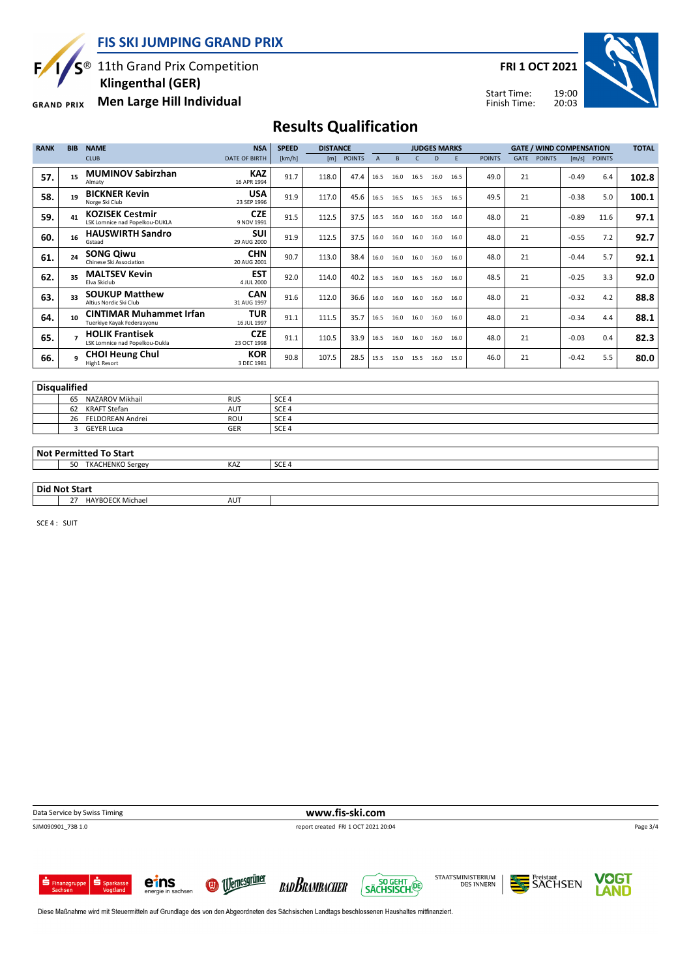**FIS SKI JUMPING GRAND PRIX**

 $S^{\circledast}$  11th Grand Prix Competition

F

 **Klingenthal (GER)**

26 FELDOREAN Andrei ROU SCE 4

3 GEYER Luca GER

**Men Large Hill Individual GRAND PRIX** 

**FRI 1 OCT 2021**

Start Time: Finish Time:



# **Results Qualification**

| <b>RANK</b>         | <b>BIB</b> | <b>NAME</b>                                                  | <b>NSA</b>                | <b>SPEED</b>     | <b>DISTANCE</b> |               |                |      |      | <b>JUDGES MARKS</b> |      |               |             | <b>GATE / WIND COMPENSATION</b> |         |               | <b>TOTAL</b> |
|---------------------|------------|--------------------------------------------------------------|---------------------------|------------------|-----------------|---------------|----------------|------|------|---------------------|------|---------------|-------------|---------------------------------|---------|---------------|--------------|
|                     |            | <b>CLUB</b>                                                  | <b>DATE OF BIRTH</b>      | [km/h]           | [m]             | <b>POINTS</b> | $\overline{A}$ | B    | C    | D                   | E    | <b>POINTS</b> | <b>GATE</b> | <b>POINTS</b>                   | [m/s]   | <b>POINTS</b> |              |
| 57.                 | 15         | <b>MUMINOV Sabirzhan</b><br>Almaty                           | <b>KAZ</b><br>16 APR 1994 | 91.7             | 118.0           | 47.4          | 16.5           | 16.0 | 16.5 | 16.0                | 16.5 | 49.0          | 21          |                                 | $-0.49$ | 6.4           | 102.8        |
| 58.                 | 19         | <b>BICKNER Kevin</b><br>Norge Ski Club                       | <b>USA</b><br>23 SEP 1996 | 91.9             | 117.0           | 45.6          | 16.5           | 16.5 | 16.5 | 16.5                | 16.5 | 49.5          | 21          |                                 | $-0.38$ | 5.0           | 100.1        |
| 59.                 | 41         | <b>KOZISEK Cestmir</b><br>LSK Lomnice nad Popelkou-DUKLA     | <b>CZE</b><br>9 NOV 1991  | 91.5             | 112.5           | 37.5          | 16.5           | 16.0 | 16.0 | 16.0                | 16.0 | 48.0          | 21          |                                 | $-0.89$ | 11.6          | 97.1         |
| 60.                 | 16         | <b>HAUSWIRTH Sandro</b><br>Gstaad                            | <b>SUI</b><br>29 AUG 2000 | 91.9             | 112.5           | 37.5          | 16.0           | 16.0 | 16.0 | 16.0                | 16.0 | 48.0          | 21          |                                 | $-0.55$ | 7.2           | 92.7         |
| 61.                 | 24         | <b>SONG Qiwu</b><br>Chinese Ski Association                  | <b>CHN</b><br>20 AUG 2001 | 90.7             | 113.0           | 38.4          | 16.0           | 16.0 | 16.0 | 16.0                | 16.0 | 48.0          | 21          |                                 | $-0.44$ | 5.7           | 92.1         |
| 62.                 | 35         | <b>MALTSEV Kevin</b><br>Elva Skiclub                         | <b>EST</b><br>4 JUL 2000  | 92.0             | 114.0           | 40.2          | 16.5           | 16.0 | 16.5 | 16.0                | 16.0 | 48.5          | 21          |                                 | $-0.25$ | 3.3           | 92.0         |
| 63.                 | 33         | <b>SOUKUP Matthew</b><br>Altius Nordic Ski Club              | <b>CAN</b><br>31 AUG 1997 | 91.6             | 112.0           | 36.6          | 16.0           | 16.0 | 16.0 | 16.0                | 16.0 | 48.0          | 21          |                                 | $-0.32$ | 4.2           | 88.8         |
| 64.                 | 10         | <b>CINTIMAR Muhammet Irfan</b><br>Tuerkive Kavak Federasvonu | <b>TUR</b><br>16 JUL 1997 | 91.1             | 111.5           | 35.7          | 16.5           | 16.0 | 16.0 | 16.0                | 16.0 | 48.0          | 21          |                                 | $-0.34$ | 4.4           | 88.1         |
| 65.                 |            | <b>HOLIK Frantisek</b><br>LSK Lomnice nad Popelkou-Dukla     | <b>CZE</b><br>23 OCT 1998 | 91.1             | 110.5           | 33.9          | 16.5           | 16.0 | 16.0 | 16.0                | 16.0 | 48.0          | 21          |                                 | $-0.03$ | 0.4           | 82.3         |
| 66.                 |            | <b>CHOI Heung Chul</b><br>High1 Resort                       | <b>KOR</b><br>3 DEC 1981  | 90.8             | 107.5           | 28.5          | 15.5           | 15.0 | 15.5 | 16.0                | 15.0 | 46.0          | 21          |                                 | $-0.42$ | 5.5           | 80.0         |
|                     |            |                                                              |                           |                  |                 |               |                |      |      |                     |      |               |             |                                 |         |               |              |
| <b>Disqualified</b> |            |                                                              |                           |                  |                 |               |                |      |      |                     |      |               |             |                                 |         |               |              |
|                     | 65         | NAZAROV Mikhail                                              | <b>RUS</b>                | SCE <sub>4</sub> |                 |               |                |      |      |                     |      |               |             |                                 |         |               |              |
|                     | 62         | <b>KRAFT Stefan</b>                                          | <b>AUT</b>                | SCE <sub>4</sub> |                 |               |                |      |      |                     |      |               |             |                                 |         |               |              |

| <b>Not Permitted To Start</b> |  |
|-------------------------------|--|
|                               |  |

| NOT Permitted To Start |            |                  |
|------------------------|------------|------------------|
| 50<br>TKACHENKO Sergey | KAZ        | SCE <sub>4</sub> |
|                        |            |                  |
| <b>Did Not Start</b>   |            |                  |
| HAYBOECK Michael<br>27 | <b>AUT</b> |                  |

SCE 4 : SUIT